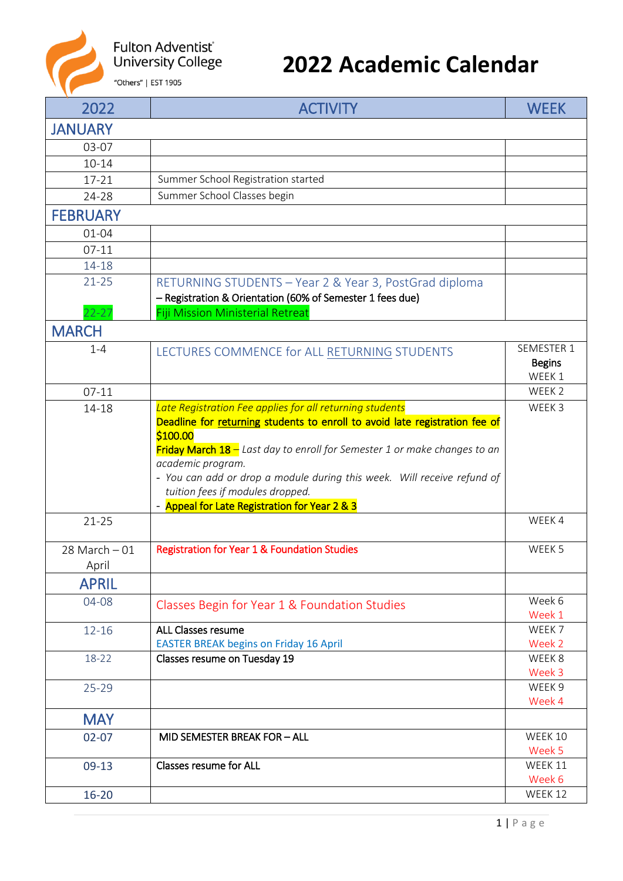

## **2022 Academic Calendar**

| 2022                      | <b>ACTIVITY</b>                                                                                                                                                                                                                                                            | <b>WEEK</b>                           |
|---------------------------|----------------------------------------------------------------------------------------------------------------------------------------------------------------------------------------------------------------------------------------------------------------------------|---------------------------------------|
| <b>JANUARY</b>            |                                                                                                                                                                                                                                                                            |                                       |
| 03-07                     |                                                                                                                                                                                                                                                                            |                                       |
| $10 - 14$                 |                                                                                                                                                                                                                                                                            |                                       |
| 17-21                     | Summer School Registration started                                                                                                                                                                                                                                         |                                       |
| 24-28                     | Summer School Classes begin                                                                                                                                                                                                                                                |                                       |
| <b>FEBRUARY</b>           |                                                                                                                                                                                                                                                                            |                                       |
| $01 - 04$                 |                                                                                                                                                                                                                                                                            |                                       |
| $07-11$                   |                                                                                                                                                                                                                                                                            |                                       |
| 14-18                     |                                                                                                                                                                                                                                                                            |                                       |
| $21 - 25$<br>$22 - 27$    | RETURNING STUDENTS - Year 2 & Year 3, PostGrad diploma<br>- Registration & Orientation (60% of Semester 1 fees due)<br><b>Fiji Mission Ministerial Retreat</b>                                                                                                             |                                       |
| <b>MARCH</b>              |                                                                                                                                                                                                                                                                            |                                       |
| $1 - 4$                   | LECTURES COMMENCE for ALL RETURNING STUDENTS                                                                                                                                                                                                                               | SEMESTER 1<br><b>Begins</b><br>WEEK 1 |
| $07-11$                   |                                                                                                                                                                                                                                                                            | WEEK 2                                |
| 14-18                     | Late Registration Fee applies for all returning students<br>Deadline for returning students to enroll to avoid late registration fee of                                                                                                                                    | WEEK 3                                |
|                           | \$100.00<br>Friday March 18 - Last day to enroll for Semester 1 or make changes to an<br>academic program.<br>- You can add or drop a module during this week. Will receive refund of<br>tuition fees if modules dropped.<br>- Appeal for Late Registration for Year 2 & 3 |                                       |
| $21 - 25$                 |                                                                                                                                                                                                                                                                            | WEEK 4                                |
| $28$ March $-01$<br>April | <b>Registration for Year 1 &amp; Foundation Studies</b>                                                                                                                                                                                                                    | WEEK 5                                |
| <b>APRIL</b>              |                                                                                                                                                                                                                                                                            |                                       |
| 04-08                     | Classes Begin for Year 1 & Foundation Studies                                                                                                                                                                                                                              | Week 6<br>Week 1                      |
| $12 - 16$                 | <b>ALL Classes resume</b><br><b>EASTER BREAK begins on Friday 16 April</b>                                                                                                                                                                                                 | WEEK 7<br>Week 2                      |
| 18-22                     | Classes resume on Tuesday 19                                                                                                                                                                                                                                               | WEEK 8<br>Week 3                      |
| $25 - 29$                 |                                                                                                                                                                                                                                                                            | WEEK 9<br>Week 4                      |
| <b>MAY</b>                |                                                                                                                                                                                                                                                                            |                                       |
| $02 - 07$                 | MID SEMESTER BREAK FOR - ALL                                                                                                                                                                                                                                               | WEEK 10<br>Week 5                     |
| $09-13$                   | <b>Classes resume for ALL</b>                                                                                                                                                                                                                                              | WEEK 11<br>Week 6                     |
| $16 - 20$                 |                                                                                                                                                                                                                                                                            | WEEK 12                               |